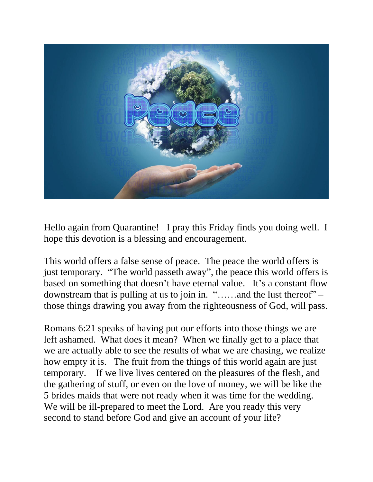

Hello again from Quarantine! I pray this Friday finds you doing well. I hope this devotion is a blessing and encouragement.

This world offers a false sense of peace. The peace the world offers is just temporary. "The world passeth away", the peace this world offers is based on something that doesn't have eternal value. It's a constant flow downstream that is pulling at us to join in. "……and the lust thereof" – those things drawing you away from the righteousness of God, will pass.

Romans 6:21 speaks of having put our efforts into those things we are left ashamed. What does it mean? When we finally get to a place that we are actually able to see the results of what we are chasing, we realize how empty it is. The fruit from the things of this world again are just temporary. If we live lives centered on the pleasures of the flesh, and the gathering of stuff, or even on the love of money, we will be like the 5 brides maids that were not ready when it was time for the wedding. We will be ill-prepared to meet the Lord. Are you ready this very second to stand before God and give an account of your life?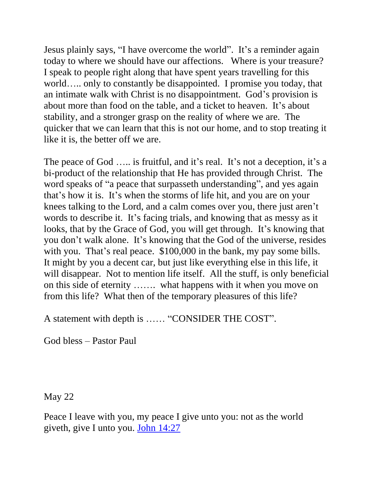Jesus plainly says, "I have overcome the world". It's a reminder again today to where we should have our affections. Where is your treasure? I speak to people right along that have spent years travelling for this world….. only to constantly be disappointed. I promise you today, that an intimate walk with Christ is no disappointment. God's provision is about more than food on the table, and a ticket to heaven. It's about stability, and a stronger grasp on the reality of where we are. The quicker that we can learn that this is not our home, and to stop treating it like it is, the better off we are.

The peace of God ….. is fruitful, and it's real. It's not a deception, it's a bi-product of the relationship that He has provided through Christ. The word speaks of "a peace that surpasseth understanding", and yes again that's how it is. It's when the storms of life hit, and you are on your knees talking to the Lord, and a calm comes over you, there just aren't words to describe it. It's facing trials, and knowing that as messy as it looks, that by the Grace of God, you will get through. It's knowing that you don't walk alone. It's knowing that the God of the universe, resides with you. That's real peace. \$100,000 in the bank, my pay some bills. It might by you a decent car, but just like everything else in this life, it will disappear. Not to mention life itself. All the stuff, is only beneficial on this side of eternity ……. what happens with it when you move on from this life? What then of the temporary pleasures of this life?

A statement with depth is …… "CONSIDER THE COST".

God bless – Pastor Paul

May 22

Peace I leave with you, my peace I give unto you: not as the world giveth, give I unto you. [John 14:27](https://biblia.com/bible/nkjv/John%2014.27)